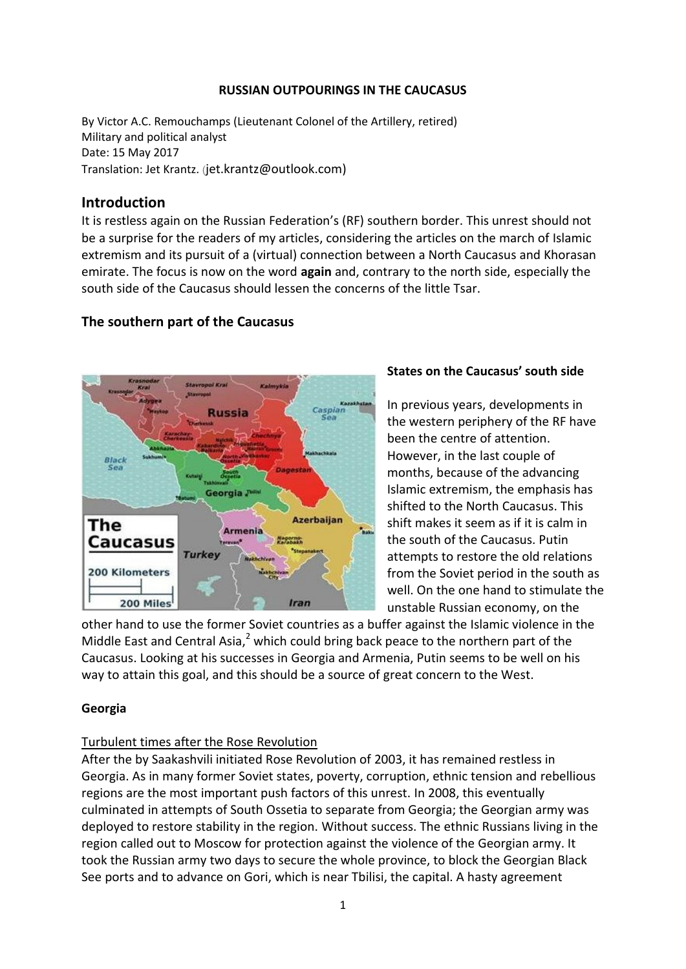#### **RUSSIAN OUTPOURINGS IN THE CAUCASUS**

By Victor A.C. Remouchamps (Lieutenant Colonel of the Artillery, retired) Military and political analyst Date: 15 May 2017 Translation: Jet Krantz. (jet.krantz@outlook.com)

## **Introduction**

It is restless again on the Russian Federation's (RF) southern border. This unrest should not be a surprise for the readers of my articles, considering the articles on the march of Islamic extremism and its pursuit of a (virtual) connection between a North Caucasus and Khorasan emirate. The focus is now on the word **again** and, contrary to the north side, especially the south side of the Caucasus should lessen the concerns of the little Tsar.

# **The southern part of the Caucasus**



## **States on the Caucasus' south side**

In previous years, developments in the western periphery of the RF have been the centre of attention. However, in the last couple of months, because of the advancing Islamic extremism, the emphasis has shifted to the North Caucasus. This shift makes it seem as if it is calm in the south of the Caucasus. Putin attempts to restore the old relations from the Soviet period in the south as well. On the one hand to stimulate the unstable Russian economy, on the

other hand to use the former Soviet countries as a buffer against the Islamic violence in the Middle East and Central Asia, $^2$  which could bring back peace to the northern part of the Caucasus. Looking at his successes in Georgia and Armenia, Putin seems to be well on his way to attain this goal, and this should be a source of great concern to the West.

## **Georgia**

## Turbulent times after the Rose Revolution

After the by Saakashvili initiated Rose Revolution of 2003, it has remained restless in Georgia. As in many former Soviet states, poverty, corruption, ethnic tension and rebellious regions are the most important push factors of this unrest. In 2008, this eventually culminated in attempts of South Ossetia to separate from Georgia; the Georgian army was deployed to restore stability in the region. Without success. The ethnic Russians living in the region called out to Moscow for protection against the violence of the Georgian army. It took the Russian army two days to secure the whole province, to block the Georgian Black See ports and to advance on Gori, which is near Tbilisi, the capital. A hasty agreement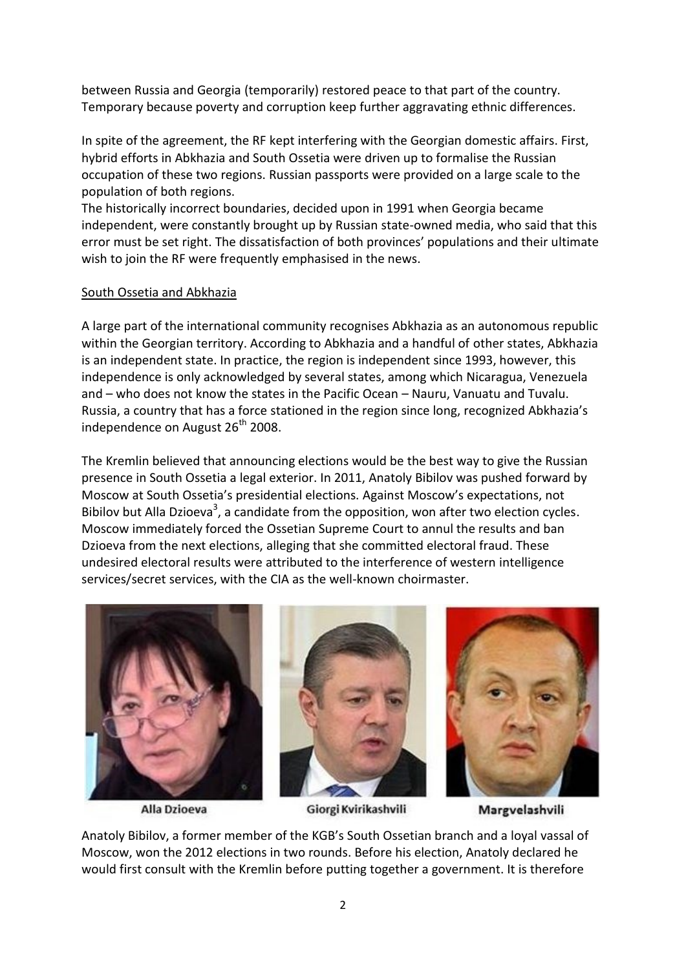between Russia and Georgia (temporarily) restored peace to that part of the country. Temporary because poverty and corruption keep further aggravating ethnic differences.

In spite of the agreement, the RF kept interfering with the Georgian domestic affairs. First, hybrid efforts in Abkhazia and South Ossetia were driven up to formalise the Russian occupation of these two regions. Russian passports were provided on a large scale to the population of both regions.

The historically incorrect boundaries, decided upon in 1991 when Georgia became independent, were constantly brought up by Russian state-owned media, who said that this error must be set right. The dissatisfaction of both provinces' populations and their ultimate wish to join the RF were frequently emphasised in the news.

### South Ossetia and Abkhazia

A large part of the international community recognises Abkhazia as an autonomous republic within the Georgian territory. According to Abkhazia and a handful of other states, Abkhazia is an independent state. In practice, the region is independent since 1993, however, this independence is only acknowledged by several states, among which Nicaragua, Venezuela and – who does not know the states in the Pacific Ocean – Nauru, Vanuatu and Tuvalu. Russia, a country that has a force stationed in the region since long, recognized Abkhazia's independence on August  $26<sup>th</sup>$  2008.

The Kremlin believed that announcing elections would be the best way to give the Russian presence in South Ossetia a legal exterior. In 2011, Anatoly Bibilov was pushed forward by Moscow at South Ossetia's presidential elections. Against Moscow's expectations, not Bibilov but Alla Dzioeva<sup>3</sup>, a candidate from the opposition, won after two election cycles. Moscow immediately forced the Ossetian Supreme Court to annul the results and ban Dzioeva from the next elections, alleging that she committed electoral fraud. These undesired electoral results were attributed to the interference of western intelligence services/secret services, with the CIA as the well-known choirmaster.



Alla Dzioeva

Giorgi Kvirikashvili

Margvelashvili

Anatoly Bibilov, a former member of the KGB's South Ossetian branch and a loyal vassal of Moscow, won the 2012 elections in two rounds. Before his election, Anatoly declared he would first consult with the Kremlin before putting together a government. It is therefore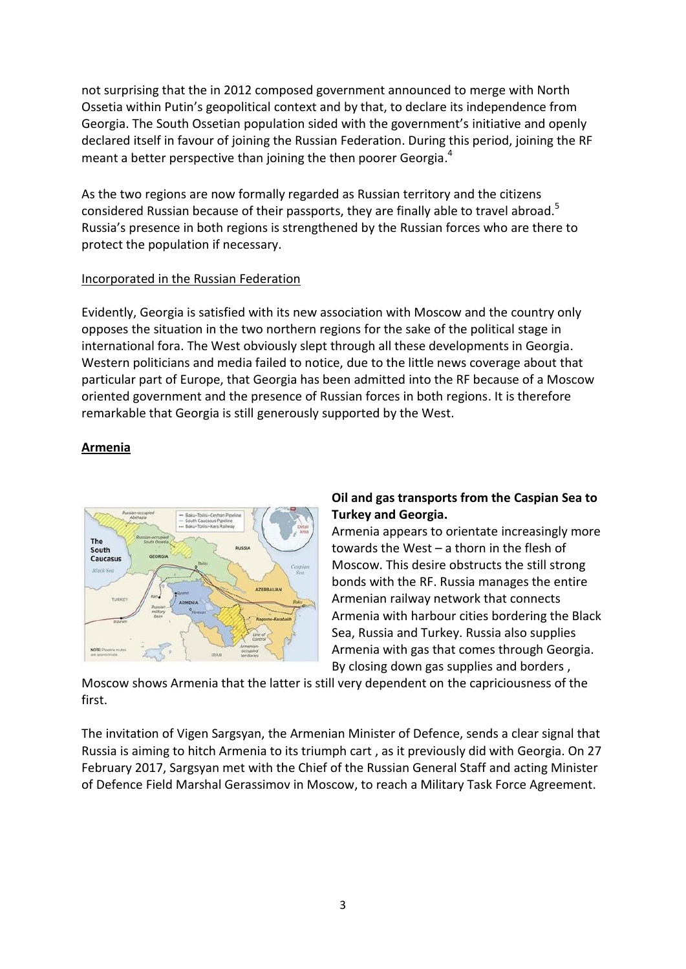not surprising that the in 2012 composed government announced to merge with North Ossetia within Putin's geopolitical context and by that, to declare its independence from Georgia. The South Ossetian population sided with the government's initiative and openly declared itself in favour of joining the Russian Federation. During this period, joining the RF meant a better perspective than joining the then poorer Georgia.<sup>4</sup>

As the two regions are now formally regarded as Russian territory and the citizens considered Russian because of their passports, they are finally able to travel abroad.<sup>5</sup> Russia's presence in both regions is strengthened by the Russian forces who are there to protect the population if necessary.

### Incorporated in the Russian Federation

Evidently, Georgia is satisfied with its new association with Moscow and the country only opposes the situation in the two northern regions for the sake of the political stage in international fora. The West obviously slept through all these developments in Georgia. Western politicians and media failed to notice, due to the little news coverage about that particular part of Europe, that Georgia has been admitted into the RF because of a Moscow oriented government and the presence of Russian forces in both regions. It is therefore remarkable that Georgia is still generously supported by the West.

# **Armenia**



# **Oil and gas transports from the Caspian Sea to Turkey and Georgia.**

Armenia appears to orientate increasingly more towards the West – a thorn in the flesh of Moscow. This desire obstructs the still strong bonds with the RF. Russia manages the entire Armenian railway network that connects Armenia with harbour cities bordering the Black Sea, Russia and Turkey. Russia also supplies Armenia with gas that comes through Georgia. By closing down gas supplies and borders ,

Moscow shows Armenia that the latter is still very dependent on the capriciousness of the first.

The invitation of Vigen Sargsyan, the Armenian Minister of Defence, sends a clear signal that Russia is aiming to hitch Armenia to its triumph cart , as it previously did with Georgia. On 27 February 2017, Sargsyan met with the Chief of the Russian General Staff and acting Minister of Defence Field Marshal Gerassimov in Moscow, to reach a Military Task Force Agreement.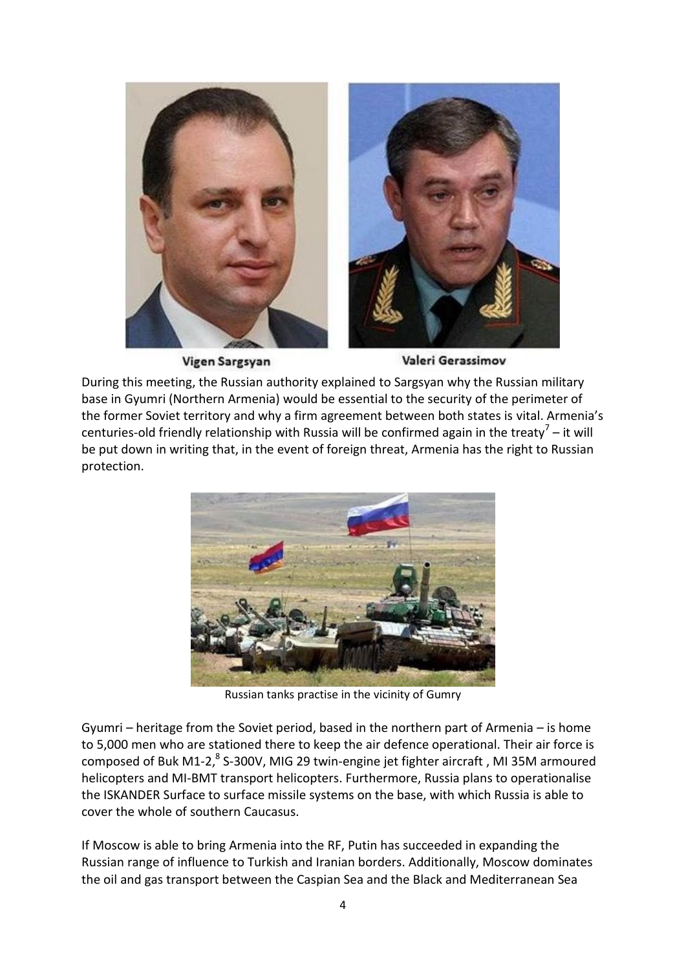

Vigen Sargsyan

Valeri Gerassimov

During this meeting, the Russian authority explained to Sargsyan why the Russian military base in Gyumri (Northern Armenia) would be essential to the security of the perimeter of the former Soviet territory and why a firm agreement between both states is vital. Armenia's centuries-old friendly relationship with Russia will be confirmed again in the treaty<sup>7</sup> – it will be put down in writing that, in the event of foreign threat, Armenia has the right to Russian protection.



Russian tanks practise in the vicinity of Gumry

Gyumri – heritage from the Soviet period, based in the northern part of Armenia – is home to 5,000 men who are stationed there to keep the air defence operational. Their air force is composed of Buk M1-2, ${}^{8}$  S-300V, MIG 29 twin-engine jet fighter aircraft, MI 35M armoured helicopters and MI-BMT transport helicopters. Furthermore, Russia plans to operationalise the ISKANDER Surface to surface missile systems on the base, with which Russia is able to cover the whole of southern Caucasus.

If Moscow is able to bring Armenia into the RF, Putin has succeeded in expanding the Russian range of influence to Turkish and Iranian borders. Additionally, Moscow dominates the oil and gas transport between the Caspian Sea and the Black and Mediterranean Sea